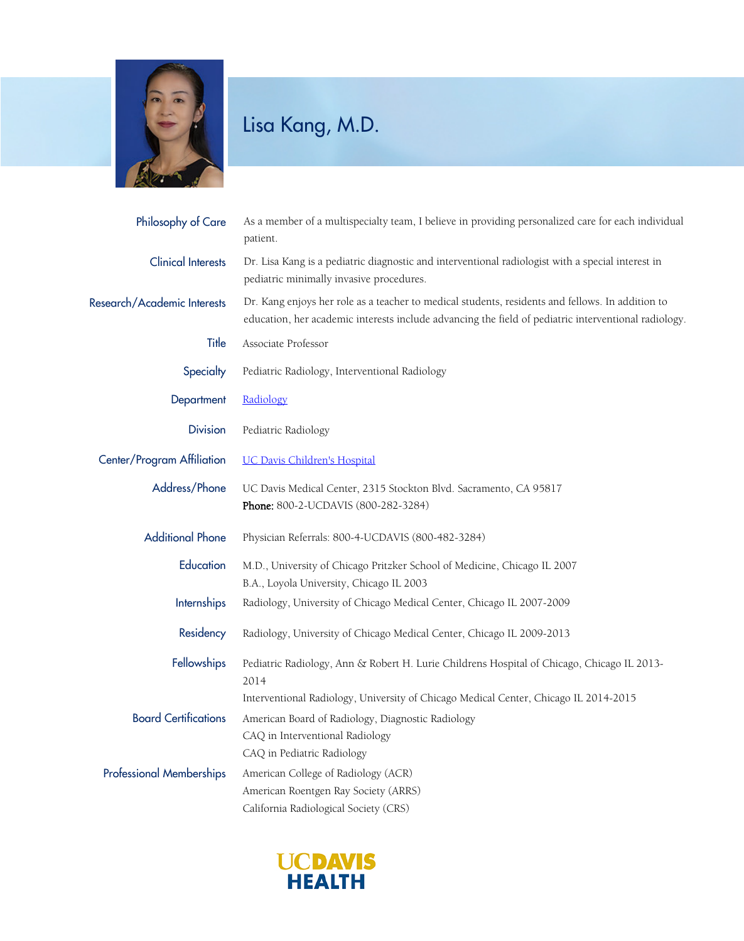

## Lisa Kang, M.D.

| <b>Philosophy of Care</b>       | As a member of a multispecialty team, I believe in providing personalized care for each individual<br>patient.                                                                                             |
|---------------------------------|------------------------------------------------------------------------------------------------------------------------------------------------------------------------------------------------------------|
| <b>Clinical Interests</b>       | Dr. Lisa Kang is a pediatric diagnostic and interventional radiologist with a special interest in<br>pediatric minimally invasive procedures.                                                              |
| Research/Academic Interests     | Dr. Kang enjoys her role as a teacher to medical students, residents and fellows. In addition to<br>education, her academic interests include advancing the field of pediatric interventional radiology.   |
| Title                           | Associate Professor                                                                                                                                                                                        |
| Specialty                       | Pediatric Radiology, Interventional Radiology                                                                                                                                                              |
| Department                      | Radiology                                                                                                                                                                                                  |
| <b>Division</b>                 | Pediatric Radiology                                                                                                                                                                                        |
| Center/Program Affiliation      | <b>UC Davis Children's Hospital</b>                                                                                                                                                                        |
| Address/Phone                   | UC Davis Medical Center, 2315 Stockton Blvd. Sacramento, CA 95817<br>Phone: 800-2-UCDAVIS (800-282-3284)                                                                                                   |
| <b>Additional Phone</b>         | Physician Referrals: 800-4-UCDAVIS (800-482-3284)                                                                                                                                                          |
| Education                       | M.D., University of Chicago Pritzker School of Medicine, Chicago IL 2007<br>B.A., Loyola University, Chicago IL 2003                                                                                       |
| <b>Internships</b>              | Radiology, University of Chicago Medical Center, Chicago IL 2007-2009                                                                                                                                      |
| Residency                       | Radiology, University of Chicago Medical Center, Chicago IL 2009-2013                                                                                                                                      |
| Fellowships                     | Pediatric Radiology, Ann & Robert H. Lurie Childrens Hospital of Chicago, Chicago IL 2013-<br>2014                                                                                                         |
| <b>Board Certifications</b>     | Interventional Radiology, University of Chicago Medical Center, Chicago IL 2014-2015<br>American Board of Radiology, Diagnostic Radiology<br>CAQ in Interventional Radiology<br>CAQ in Pediatric Radiology |
| <b>Professional Memberships</b> | American College of Radiology (ACR)<br>American Roentgen Ray Society (ARRS)<br>California Radiological Society (CRS)                                                                                       |

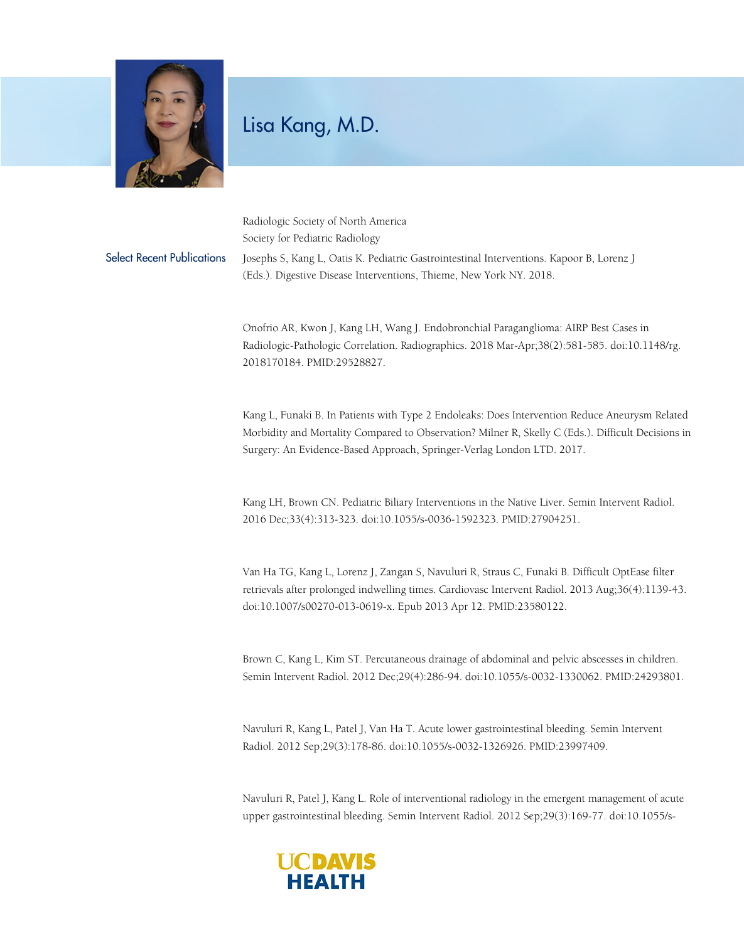

## Lisa Kang, M.D.

Radiologic Society of North America Society for Pediatric Radiology Select Recent Publications Josephs S, Kang L, Oatis K. Pediatric Gastrointestinal Interventions. Kapoor B, Lorenz J (Eds.). Digestive Disease Interventions, Thieme, New York NY. 2018.

> Onofrio AR, Kwon J, Kang LH, Wang J. Endobronchial Paraganglioma: AIRP Best Cases in Radiologic-Pathologic Correlation. Radiographics. 2018 Mar-Apr;38(2):581-585. doi:10.1148/rg. 2018170184. PMID:29528827.

Kang L, Funaki B. In Patients with Type 2 Endoleaks: Does Intervention Reduce Aneurysm Related Morbidity and Mortality Compared to Observation? Milner R, Skelly C (Eds.). Difficult Decisions in Surgery: An Evidence-Based Approach, Springer-Verlag London LTD. 2017.

Kang LH, Brown CN. Pediatric Biliary Interventions in the Native Liver. Semin Intervent Radiol. 2016 Dec;33(4):313-323. doi:10.1055/s-0036-1592323. PMID:27904251.

Van Ha TG, Kang L, Lorenz J, Zangan S, Navuluri R, Straus C, Funaki B. Difficult OptEase filter retrievals after prolonged indwelling times. Cardiovasc Intervent Radiol. 2013 Aug;36(4):1139-43. doi:10.1007/s00270-013-0619-x. Epub 2013 Apr 12. PMID:23580122.

Brown C, Kang L, Kim ST. Percutaneous drainage of abdominal and pelvic abscesses in children. Semin Intervent Radiol. 2012 Dec;29(4):286-94. doi:10.1055/s-0032-1330062. PMID:24293801.

Navuluri R, Kang L, Patel J, Van Ha T. Acute lower gastrointestinal bleeding. Semin Intervent Radiol. 2012 Sep;29(3):178-86. doi:10.1055/s-0032-1326926. PMID:23997409.

Navuluri R, Patel J, Kang L. Role of interventional radiology in the emergent management of acute upper gastrointestinal bleeding. Semin Intervent Radiol. 2012 Sep;29(3):169-77. doi:10.1055/s-